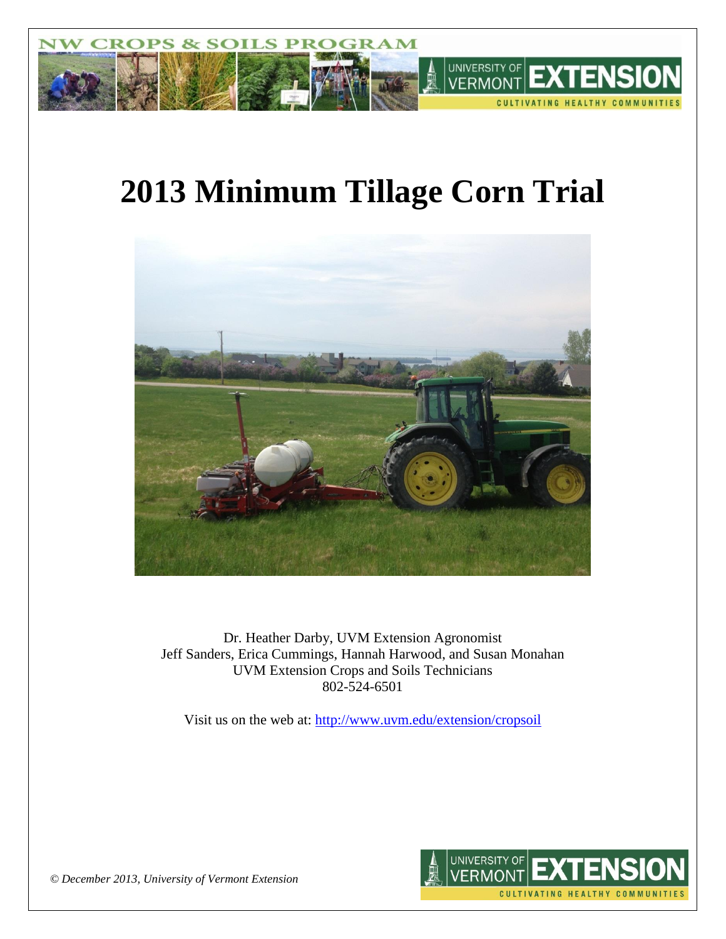

# **2013 Minimum Tillage Corn Trial**



Dr. Heather Darby, UVM Extension Agronomist Jeff Sanders, Erica Cummings, Hannah Harwood, and Susan Monahan UVM Extension Crops and Soils Technicians 802-524-6501

Visit us on the web at: <http://www.uvm.edu/extension/cropsoil>



*© December 2013, University of Vermont Extension*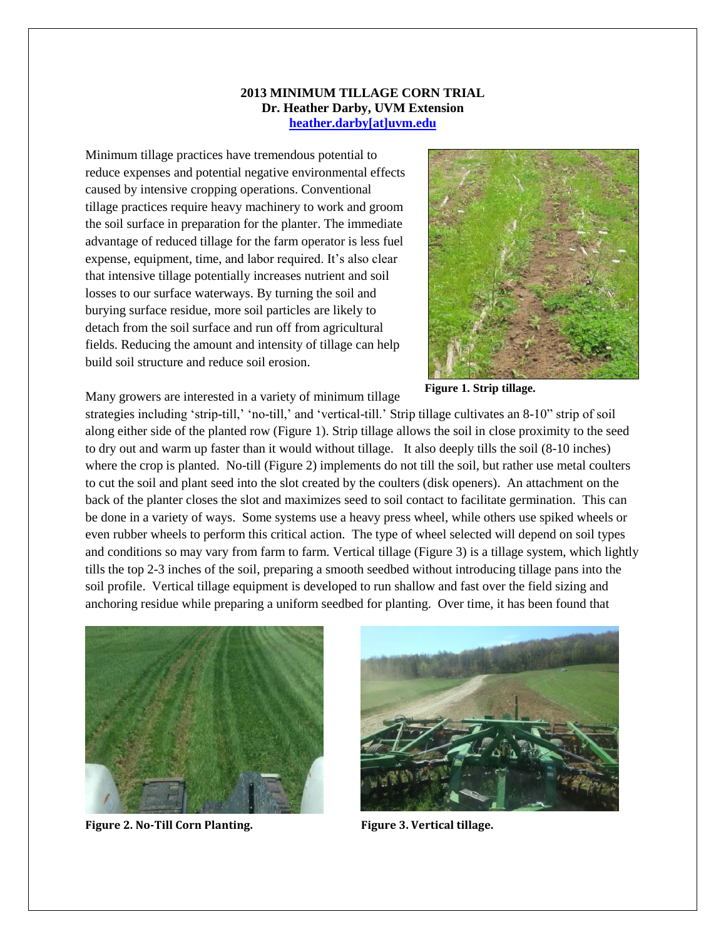#### **2013 MINIMUM TILLAGE CORN TRIAL Dr. Heather Darby, UVM Extension [heather.darby\[at\]uvm.edu](mailto:heather.darby@uvm.edu)**

Minimum tillage practices have tremendous potential to reduce expenses and potential negative environmental effects caused by intensive cropping operations. Conventional tillage practices require heavy machinery to work and groom the soil surface in preparation for the planter. The immediate advantage of reduced tillage for the farm operator is less fuel expense, equipment, time, and labor required. It's also clear that intensive tillage potentially increases nutrient and soil losses to our surface waterways. By turning the soil and burying surface residue, more soil particles are likely to detach from the soil surface and run off from agricultural fields. Reducing the amount and intensity of tillage can help build soil structure and reduce soil erosion.



**Figure 1. Strip tillage.**

Many growers are interested in a variety of minimum tillage

strategies including 'strip-till,' 'no-till,' and 'vertical-till.' Strip tillage cultivates an 8-10" strip of soil along either side of the planted row (Figure 1). Strip tillage allows the soil in close proximity to the seed to dry out and warm up faster than it would without tillage. It also deeply tills the soil (8-10 inches) where the crop is planted. No-till (Figure 2) implements do not till the soil, but rather use metal coulters to cut the soil and plant seed into the slot created by the coulters (disk openers). An attachment on the back of the planter closes the slot and maximizes seed to soil contact to facilitate germination. This can be done in a variety of ways. Some systems use a heavy press wheel, while others use spiked wheels or even rubber wheels to perform this critical action. The type of wheel selected will depend on soil types and conditions so may vary from farm to farm. Vertical tillage (Figure 3) is a tillage system, which lightly tills the top 2-3 inches of the soil, preparing a smooth seedbed without introducing tillage pans into the soil profile. Vertical tillage equipment is developed to run shallow and fast over the field sizing and anchoring residue while preparing a uniform seedbed for planting. Over time, it has been found that



**Figure 2. No-Till Corn Planting. Figure 3. Vertical tillage.**

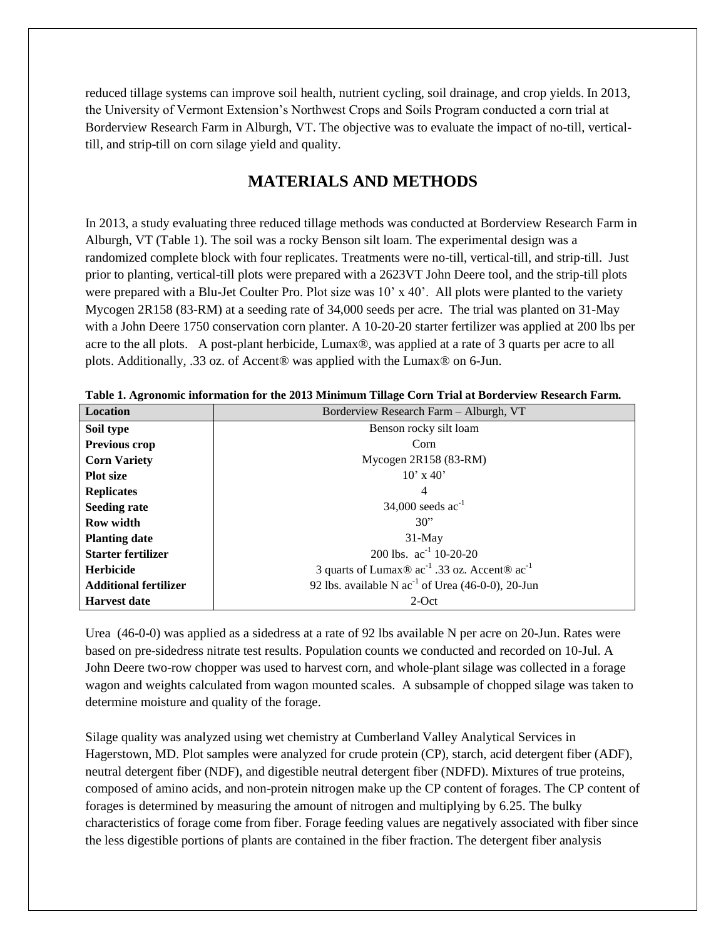reduced tillage systems can improve soil health, nutrient cycling, soil drainage, and crop yields. In 2013, the University of Vermont Extension's Northwest Crops and Soils Program conducted a corn trial at Borderview Research Farm in Alburgh, VT. The objective was to evaluate the impact of no-till, verticaltill, and strip-till on corn silage yield and quality.

# **MATERIALS AND METHODS**

In 2013, a study evaluating three reduced tillage methods was conducted at Borderview Research Farm in Alburgh, VT (Table 1). The soil was a rocky Benson silt loam. The experimental design was a randomized complete block with four replicates. Treatments were no-till, vertical-till, and strip-till. Just prior to planting, vertical-till plots were prepared with a 2623VT John Deere tool, and the strip-till plots were prepared with a Blu-Jet Coulter Pro. Plot size was 10' x 40'. All plots were planted to the variety Mycogen 2R158 (83-RM) at a seeding rate of 34,000 seeds per acre. The trial was planted on 31-May with a John Deere 1750 conservation corn planter. A 10-20-20 starter fertilizer was applied at 200 lbs per acre to the all plots. A post-plant herbicide, Lumax®, was applied at a rate of 3 quarts per acre to all plots. Additionally, .33 oz. of Accent® was applied with the Lumax® on 6-Jun.

| <b>Location</b>              | Borderview Research Farm - Alburgh, VT                                                 |  |  |  |  |  |  |
|------------------------------|----------------------------------------------------------------------------------------|--|--|--|--|--|--|
| Soil type                    | Benson rocky silt loam                                                                 |  |  |  |  |  |  |
| <b>Previous crop</b>         | Corn                                                                                   |  |  |  |  |  |  |
| <b>Corn Variety</b>          | Mycogen $2R158(83-RM)$                                                                 |  |  |  |  |  |  |
| <b>Plot size</b>             | $10'$ x 40'                                                                            |  |  |  |  |  |  |
| <b>Replicates</b>            | 4                                                                                      |  |  |  |  |  |  |
| <b>Seeding rate</b>          | 34,000 seeds $ac^{-1}$                                                                 |  |  |  |  |  |  |
| Row width                    | 30"                                                                                    |  |  |  |  |  |  |
| <b>Planting date</b>         | $31$ -May                                                                              |  |  |  |  |  |  |
| <b>Starter fertilizer</b>    | 200 lbs. $ac^{-1}$ 10-20-20                                                            |  |  |  |  |  |  |
| Herbicide                    | 3 quarts of Lumax $\otimes$ ac <sup>-1</sup> .33 oz. Accent $\otimes$ ac <sup>-1</sup> |  |  |  |  |  |  |
| <b>Additional fertilizer</b> | 92 lbs. available N $ac^{-1}$ of Urea (46-0-0), 20-Jun                                 |  |  |  |  |  |  |
| <b>Harvest date</b>          | $2$ -Oct                                                                               |  |  |  |  |  |  |

**Table 1. Agronomic information for the 2013 Minimum Tillage Corn Trial at Borderview Research Farm.**

Urea (46-0-0) was applied as a sidedress at a rate of 92 lbs available N per acre on 20-Jun. Rates were based on pre-sidedress nitrate test results. Population counts we conducted and recorded on 10-Jul. A John Deere two-row chopper was used to harvest corn, and whole-plant silage was collected in a forage wagon and weights calculated from wagon mounted scales. A subsample of chopped silage was taken to determine moisture and quality of the forage.

Silage quality was analyzed using wet chemistry at Cumberland Valley Analytical Services in Hagerstown, MD. Plot samples were analyzed for crude protein (CP), starch, acid detergent fiber (ADF), neutral detergent fiber (NDF), and digestible neutral detergent fiber (NDFD). Mixtures of true proteins, composed of amino acids, and non-protein nitrogen make up the CP content of forages. The CP content of forages is determined by measuring the amount of nitrogen and multiplying by 6.25. The bulky characteristics of forage come from fiber. Forage feeding values are negatively associated with fiber since the less digestible portions of plants are contained in the fiber fraction. The detergent fiber analysis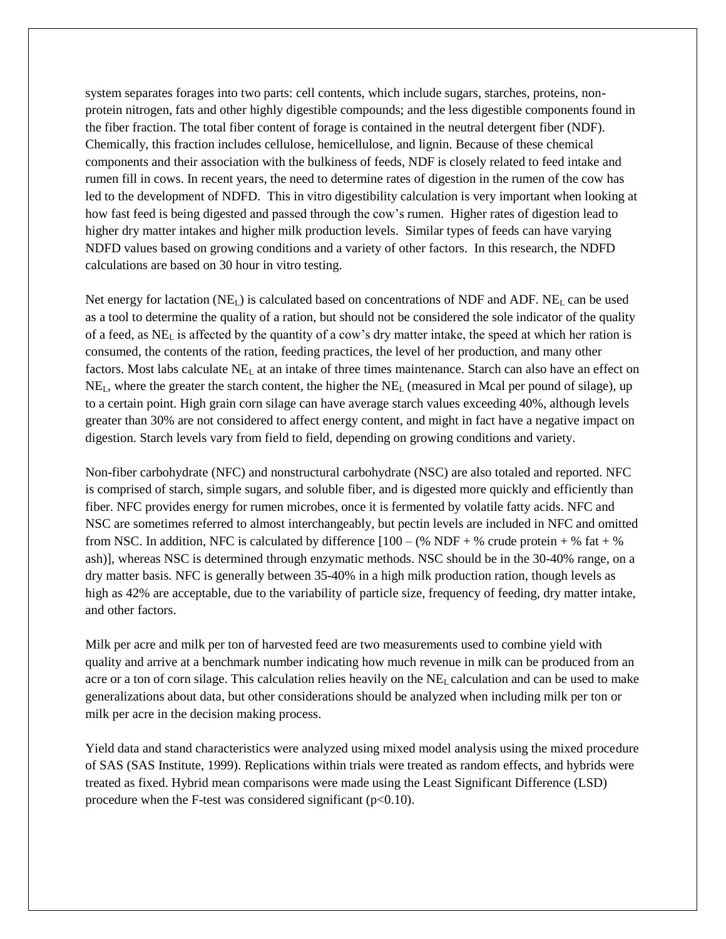system separates forages into two parts: cell contents, which include sugars, starches, proteins, nonprotein nitrogen, fats and other highly digestible compounds; and the less digestible components found in the fiber fraction. The total fiber content of forage is contained in the neutral detergent fiber (NDF). Chemically, this fraction includes cellulose, hemicellulose, and lignin. Because of these chemical components and their association with the bulkiness of feeds, NDF is closely related to feed intake and rumen fill in cows. In recent years, the need to determine rates of digestion in the rumen of the cow has led to the development of NDFD. This in vitro digestibility calculation is very important when looking at how fast feed is being digested and passed through the cow's rumen. Higher rates of digestion lead to higher dry matter intakes and higher milk production levels. Similar types of feeds can have varying NDFD values based on growing conditions and a variety of other factors. In this research, the NDFD calculations are based on 30 hour in vitro testing.

Net energy for lactation  $(NE_L)$  is calculated based on concentrations of NDF and ADF.  $NE_L$  can be used as a tool to determine the quality of a ration, but should not be considered the sole indicator of the quality of a feed, as NE<sup>L</sup> is affected by the quantity of a cow's dry matter intake, the speed at which her ration is consumed, the contents of the ration, feeding practices, the level of her production, and many other factors. Most labs calculate  $NE<sub>L</sub>$  at an intake of three times maintenance. Starch can also have an effect on  $NE<sub>L</sub>$ , where the greater the starch content, the higher the  $NE<sub>L</sub>$  (measured in Mcal per pound of silage), up to a certain point. High grain corn silage can have average starch values exceeding 40%, although levels greater than 30% are not considered to affect energy content, and might in fact have a negative impact on digestion. Starch levels vary from field to field, depending on growing conditions and variety.

Non-fiber carbohydrate (NFC) and nonstructural carbohydrate (NSC) are also totaled and reported. NFC is comprised of starch, simple sugars, and soluble fiber, and is digested more quickly and efficiently than fiber. NFC provides energy for rumen microbes, once it is fermented by volatile fatty acids. NFC and NSC are sometimes referred to almost interchangeably, but pectin levels are included in NFC and omitted from NSC. In addition, NFC is calculated by difference  $[100 - (\% \text{ NDF} + \% \text{ crude protein} + \% \text{ fat} + \% \text{ C})]$ ash)], whereas NSC is determined through enzymatic methods. NSC should be in the 30-40% range, on a dry matter basis. NFC is generally between 35-40% in a high milk production ration, though levels as high as 42% are acceptable, due to the variability of particle size, frequency of feeding, dry matter intake, and other factors.

Milk per acre and milk per ton of harvested feed are two measurements used to combine yield with quality and arrive at a benchmark number indicating how much revenue in milk can be produced from an acre or a ton of corn silage. This calculation relies heavily on the NE<sub>L</sub> calculation and can be used to make generalizations about data, but other considerations should be analyzed when including milk per ton or milk per acre in the decision making process.

Yield data and stand characteristics were analyzed using mixed model analysis using the mixed procedure of SAS (SAS Institute, 1999). Replications within trials were treated as random effects, and hybrids were treated as fixed. Hybrid mean comparisons were made using the Least Significant Difference (LSD) procedure when the F-test was considered significant  $(p<0.10)$ .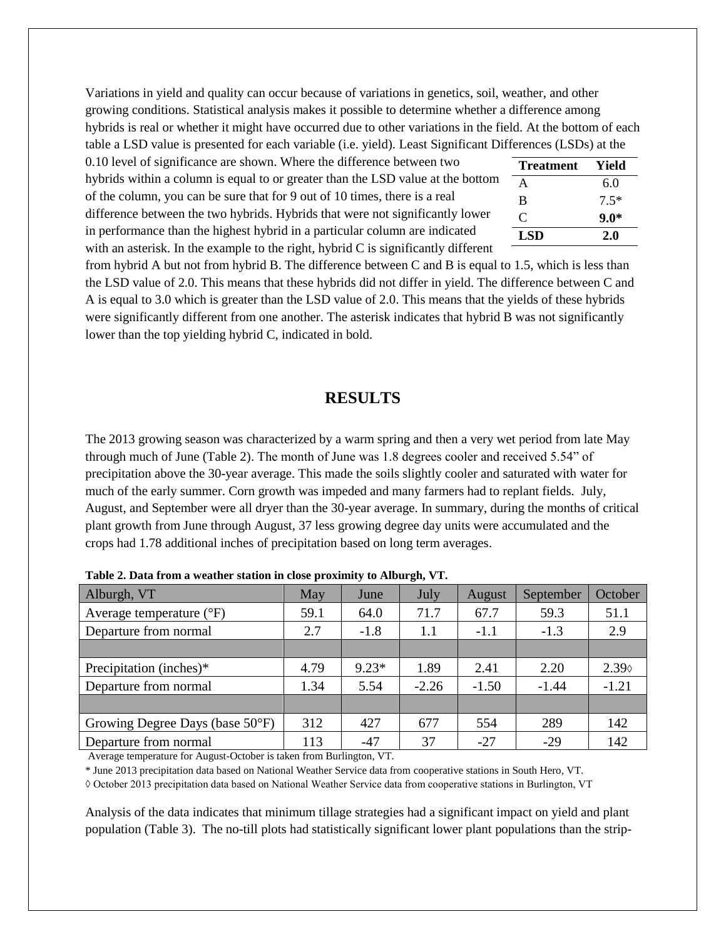Variations in yield and quality can occur because of variations in genetics, soil, weather, and other growing conditions. Statistical analysis makes it possible to determine whether a difference among hybrids is real or whether it might have occurred due to other variations in the field. At the bottom of each table a LSD value is presented for each variable (i.e. yield). Least Significant Differences (LSDs) at the

0.10 level of significance are shown. Where the difference between two hybrids within a column is equal to or greater than the LSD value at the bottom of the column, you can be sure that for 9 out of 10 times, there is a real difference between the two hybrids. Hybrids that were not significantly lower in performance than the highest hybrid in a particular column are indicated with an asterisk. In the example to the right, hybrid C is significantly different

|   | Treatment  | Yield  |
|---|------------|--------|
| l | А          | 6.0    |
|   | B          | $7.5*$ |
|   | C          | $9.0*$ |
|   | <b>LSD</b> | 2.0    |

from hybrid A but not from hybrid B. The difference between C and B is equal to 1.5, which is less than the LSD value of 2.0. This means that these hybrids did not differ in yield. The difference between C and A is equal to 3.0 which is greater than the LSD value of 2.0. This means that the yields of these hybrids were significantly different from one another. The asterisk indicates that hybrid B was not significantly lower than the top yielding hybrid C, indicated in bold.

#### **RESULTS**

The 2013 growing season was characterized by a warm spring and then a very wet period from late May through much of June (Table 2). The month of June was 1.8 degrees cooler and received 5.54" of precipitation above the 30-year average. This made the soils slightly cooler and saturated with water for much of the early summer. Corn growth was impeded and many farmers had to replant fields. July, August, and September were all dryer than the 30-year average. In summary, during the months of critical plant growth from June through August, 37 less growing degree day units were accumulated and the crops had 1.78 additional inches of precipitation based on long term averages.

| Alburgh, VT                               | May  | June    | July    | August  | September | October     |
|-------------------------------------------|------|---------|---------|---------|-----------|-------------|
| Average temperature $({}^{\circ}F)$       | 59.1 | 64.0    | 71.7    | 67.7    | 59.3      | 51.1        |
| Departure from normal                     | 2.7  | $-1.8$  | 1.1     | $-1.1$  | $-1.3$    | 2.9         |
|                                           |      |         |         |         |           |             |
| Precipitation (inches)*                   | 4.79 | $9.23*$ | 1.89    | 2.41    | 2.20      | $2.39\circ$ |
| Departure from normal                     | 1.34 | 5.54    | $-2.26$ | $-1.50$ | $-1.44$   |             |
|                                           |      |         |         |         |           |             |
| Growing Degree Days (base $50^{\circ}$ F) | 312  | 427     | 677     | 554     | 289       | 142         |
| Departure from normal                     | 113  | $-47$   | 37      | $-27$   | $-29$     | 142         |

**Table 2. Data from a weather station in close proximity to Alburgh, VT.**

Average temperature for August-October is taken from Burlington, VT.

\* June 2013 precipitation data based on National Weather Service data from cooperative stations in South Hero, VT. ◊ October 2013 precipitation data based on National Weather Service data from cooperative stations in Burlington, VT

Analysis of the data indicates that minimum tillage strategies had a significant impact on yield and plant population (Table 3). The no-till plots had statistically significant lower plant populations than the strip-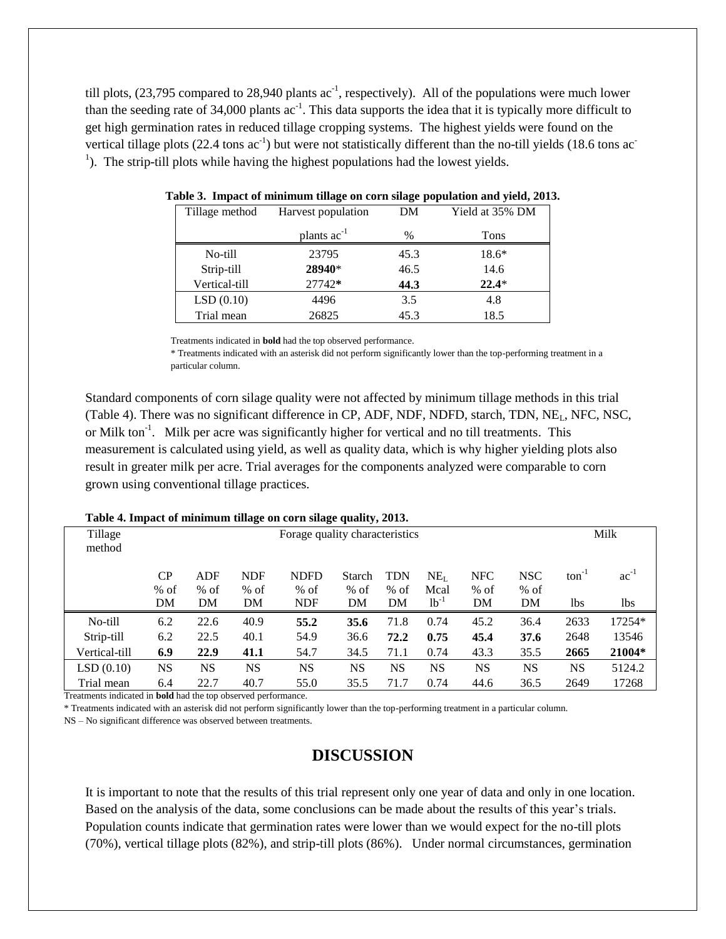till plots,  $(23,795)$  compared to  $28,940$  plants ac<sup>-1</sup>, respectively). All of the populations were much lower than the seeding rate of  $34,000$  plants ac<sup>-1</sup>. This data supports the idea that it is typically more difficult to get high germination rates in reduced tillage cropping systems. The highest yields were found on the vertical tillage plots  $(22.4 \text{ tons } ac^{-1})$  but were not statistically different than the no-till yields  $(18.6 \text{ tons } ac^{-1})$ <sup>1</sup>). The strip-till plots while having the highest populations had the lowest yields.

| Tillage method | Harvest population      | DM   | Yield at 35% DM |  |  |  |
|----------------|-------------------------|------|-----------------|--|--|--|
|                | plants ac <sup>-1</sup> | $\%$ | Tons            |  |  |  |
| No-till        | 23795                   | 45.3 | $18.6*$         |  |  |  |
| Strip-till     | 28940*                  | 46.5 | 14.6            |  |  |  |
| Vertical-till  | 27742*                  | 44.3 | $22.4*$         |  |  |  |
| LSD(0.10)      | 4496                    | 3.5  | 4.8             |  |  |  |
| Trial mean     | 26825                   | 45.3 | 18.5            |  |  |  |

**Table 3. Impact of minimum tillage on corn silage population and yield, 2013.**

Treatments indicated in **bold** had the top observed performance.

\* Treatments indicated with an asterisk did not perform significantly lower than the top-performing treatment in a particular column.

Standard components of corn silage quality were not affected by minimum tillage methods in this trial (Table 4). There was no significant difference in CP, ADF, NDF, NDFD, starch, TDN, NEL, NFC, NSC, or Milk ton<sup>-1</sup>. Milk per acre was significantly higher for vertical and no till treatments. This measurement is calculated using yield, as well as quality data, which is why higher yielding plots also result in greater milk per acre. Trial averages for the components analyzed were comparable to corn grown using conventional tillage practices.

| Table 4. Hilpact of hummum thiage on corn shage quality, 2013. |                                |            |            |             |           |            |                 |            |            |                   |           |
|----------------------------------------------------------------|--------------------------------|------------|------------|-------------|-----------|------------|-----------------|------------|------------|-------------------|-----------|
| Tillage                                                        | Forage quality characteristics |            |            |             |           |            |                 |            |            | Milk              |           |
| method                                                         |                                |            |            |             |           |            |                 |            |            |                   |           |
|                                                                | CP                             | <b>ADF</b> | <b>NDF</b> | <b>NDFD</b> | Starch    | <b>TDN</b> | NE <sub>L</sub> | <b>NFC</b> | <b>NSC</b> | $\text{ton}^{-1}$ | $ac^{-1}$ |
|                                                                | $%$ of                         | $%$ of     | $%$ of     | $%$ of      | $%$ of    | $%$ of     | Mcal            | $%$ of     | $%$ of     |                   |           |
|                                                                | DM                             | DM         | DM         | NDF         | DM        | DM         | $lb^{-1}$       | DM         | DM         | 1bs               | lbs       |
| No-till                                                        | 6.2                            | 22.6       | 40.9       | 55.2        | 35.6      | 71.8       | 0.74            | 45.2       | 36.4       | 2633              | 17254*    |
| Strip-till                                                     | 6.2                            | 22.5       | 40.1       | 54.9        | 36.6      | 72.2       | 0.75            | 45.4       | 37.6       | 2648              | 13546     |
| Vertical-till                                                  | 6.9                            | 22.9       | 41.1       | 54.7        | 34.5      | 71.1       | 0.74            | 43.3       | 35.5       | 2665              | 21004*    |
| LSD(0.10)                                                      | NS                             | <b>NS</b>  | <b>NS</b>  | <b>NS</b>   | <b>NS</b> | <b>NS</b>  | <b>NS</b>       | <b>NS</b>  | <b>NS</b>  | <b>NS</b>         | 5124.2    |
| Trial mean                                                     | 6.4                            | 22.7       | 40.7       | 55.0        | 35.5      | 71.7       | 0.74            | 44.6       | 36.5       | 2649              | 17268     |

**Table 4. Impact of minimum tillage on corn silage quality, 2013.**

Treatments indicated in **bold** had the top observed performance.

\* Treatments indicated with an asterisk did not perform significantly lower than the top-performing treatment in a particular column.

NS – No significant difference was observed between treatments.

## **DISCUSSION**

It is important to note that the results of this trial represent only one year of data and only in one location. Based on the analysis of the data, some conclusions can be made about the results of this year's trials. Population counts indicate that germination rates were lower than we would expect for the no-till plots (70%), vertical tillage plots (82%), and strip-till plots (86%). Under normal circumstances, germination